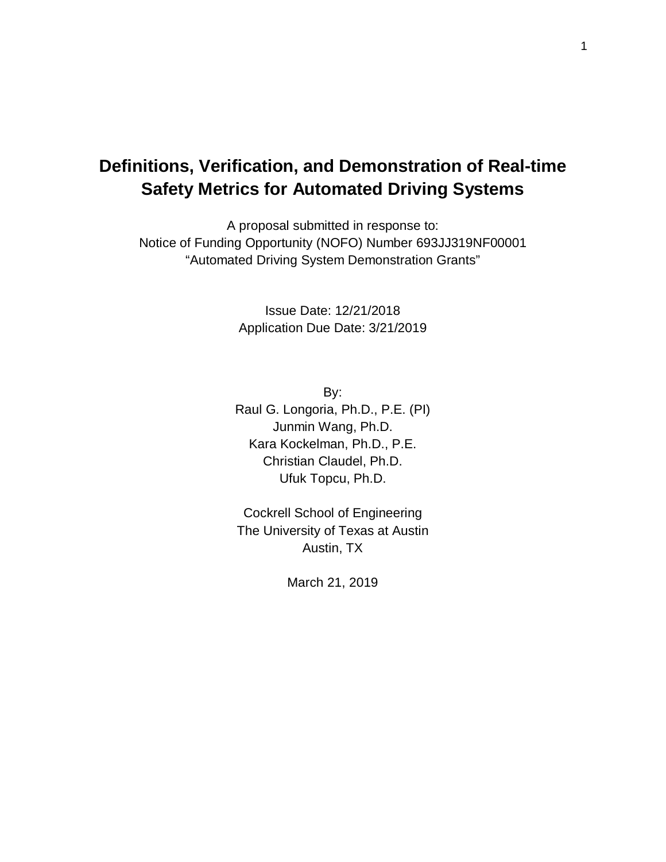# **Definitions, Verification, and Demonstration of Real-time Safety Metrics for Automated Driving Systems**

A proposal submitted in response to: Notice of Funding Opportunity (NOFO) Number 693JJ319NF00001 "Automated Driving System Demonstration Grants"

> Issue Date: 12/21/2018 Application Due Date: 3/21/2019

By: Raul G. Longoria, Ph.D., P.E. (PI) Junmin Wang, Ph.D. Kara Kockelman, Ph.D., P.E. Christian Claudel, Ph.D. Ufuk Topcu, Ph.D.

Cockrell School of Engineering The University of Texas at Austin Austin, TX

March 21, 2019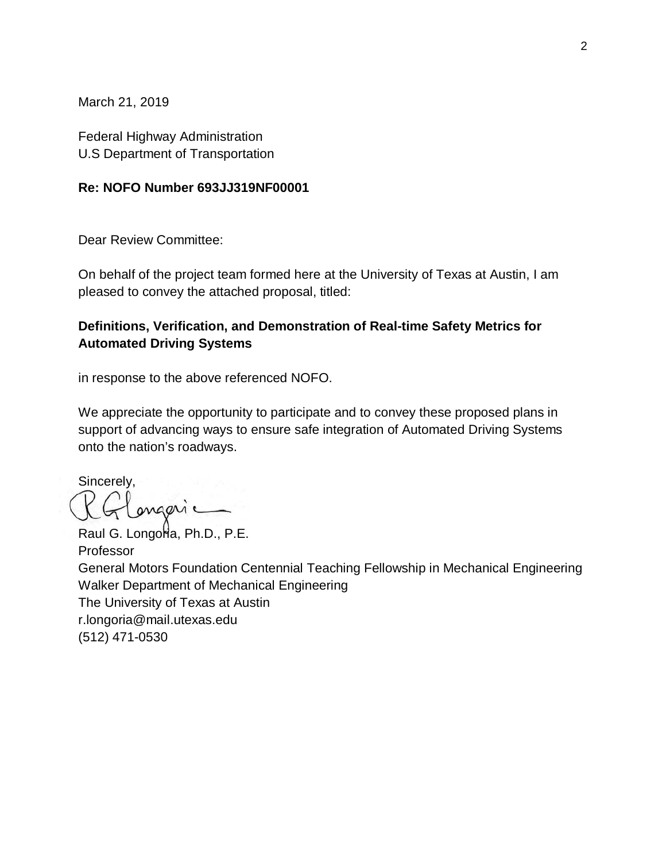March 21, 2019

Federal Highway Administration U.S Department of Transportation

#### **Re: NOFO Number 693JJ319NF00001**

Dear Review Committee:

On behalf of the project team formed here at the University of Texas at Austin, I am pleased to convey the attached proposal, titled:

#### **Definitions, Verification, and Demonstration of Real-time Safety Metrics for Automated Driving Systems**

in response to the above referenced NOFO.

We appreciate the opportunity to participate and to convey these proposed plans in support of advancing ways to ensure safe integration of Automated Driving Systems onto the nation's roadways.

Sincerely, ongeric

Raul G. Longoria, Ph.D., P.E. Professor General Motors Foundation Centennial Teaching Fellowship in Mechanical Engineering Walker Department of Mechanical Engineering The University of Texas at Austin r.longoria@mail.utexas.edu (512) 471-0530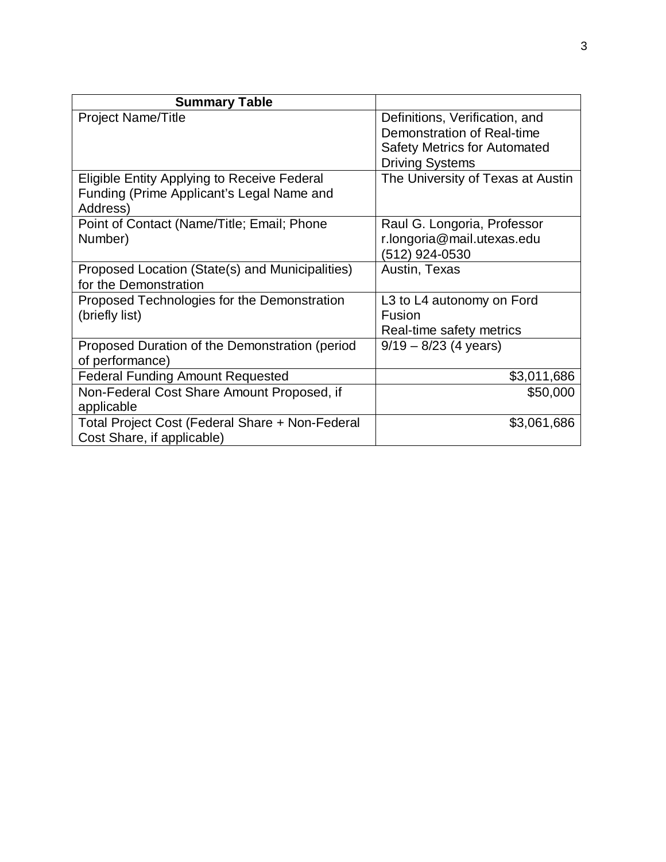| <b>Summary Table</b>                                                                                 |                                                                                                                               |
|------------------------------------------------------------------------------------------------------|-------------------------------------------------------------------------------------------------------------------------------|
| <b>Project Name/Title</b>                                                                            | Definitions, Verification, and<br>Demonstration of Real-time<br><b>Safety Metrics for Automated</b><br><b>Driving Systems</b> |
| Eligible Entity Applying to Receive Federal<br>Funding (Prime Applicant's Legal Name and<br>Address) | The University of Texas at Austin                                                                                             |
| Point of Contact (Name/Title; Email; Phone<br>Number)                                                | Raul G. Longoria, Professor<br>r.longoria@mail.utexas.edu<br>(512) 924-0530                                                   |
| Proposed Location (State(s) and Municipalities)<br>for the Demonstration                             | Austin, Texas                                                                                                                 |
| Proposed Technologies for the Demonstration<br>(briefly list)                                        | L3 to L4 autonomy on Ford<br>Fusion<br>Real-time safety metrics                                                               |
| Proposed Duration of the Demonstration (period<br>of performance)                                    | $9/19 - 8/23$ (4 years)                                                                                                       |
| <b>Federal Funding Amount Requested</b>                                                              | \$3,011,686                                                                                                                   |
| Non-Federal Cost Share Amount Proposed, if<br>applicable                                             | \$50,000                                                                                                                      |
| Total Project Cost (Federal Share + Non-Federal<br>Cost Share, if applicable)                        | \$3,061,686                                                                                                                   |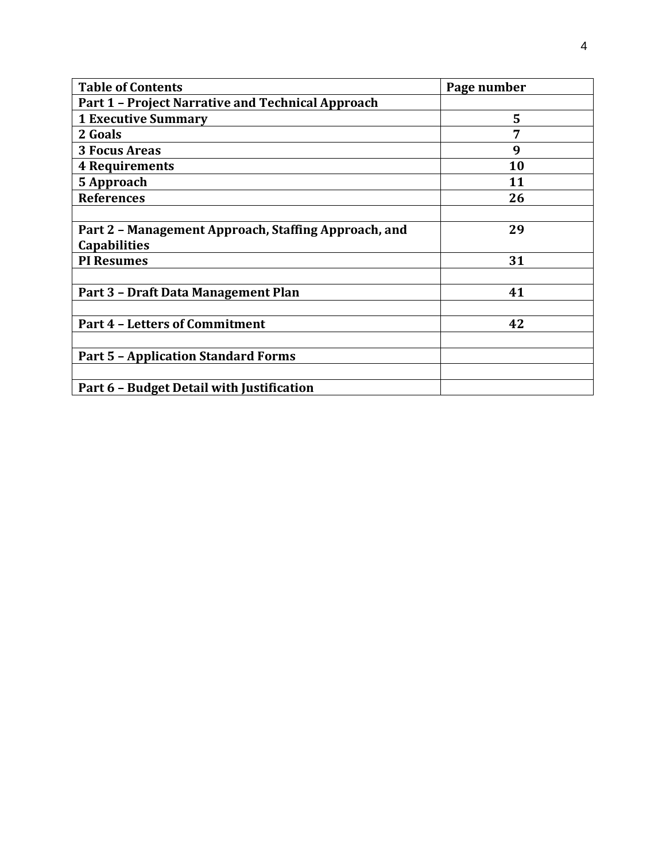| <b>Table of Contents</b>                             | Page number |
|------------------------------------------------------|-------------|
| Part 1 - Project Narrative and Technical Approach    |             |
| <b>1 Executive Summary</b>                           | 5           |
| 2 Goals                                              | 7           |
| <b>3 Focus Areas</b>                                 | 9           |
| <b>4 Requirements</b>                                | 10          |
| 5 Approach                                           | 11          |
| <b>References</b>                                    | 26          |
|                                                      |             |
| Part 2 - Management Approach, Staffing Approach, and | 29          |
| <b>Capabilities</b>                                  |             |
| <b>PI Resumes</b>                                    | 31          |
|                                                      |             |
| Part 3 - Draft Data Management Plan                  | 41          |
|                                                      |             |
| <b>Part 4 - Letters of Commitment</b>                | 42          |
|                                                      |             |
| <b>Part 5 - Application Standard Forms</b>           |             |
|                                                      |             |
| Part 6 - Budget Detail with Justification            |             |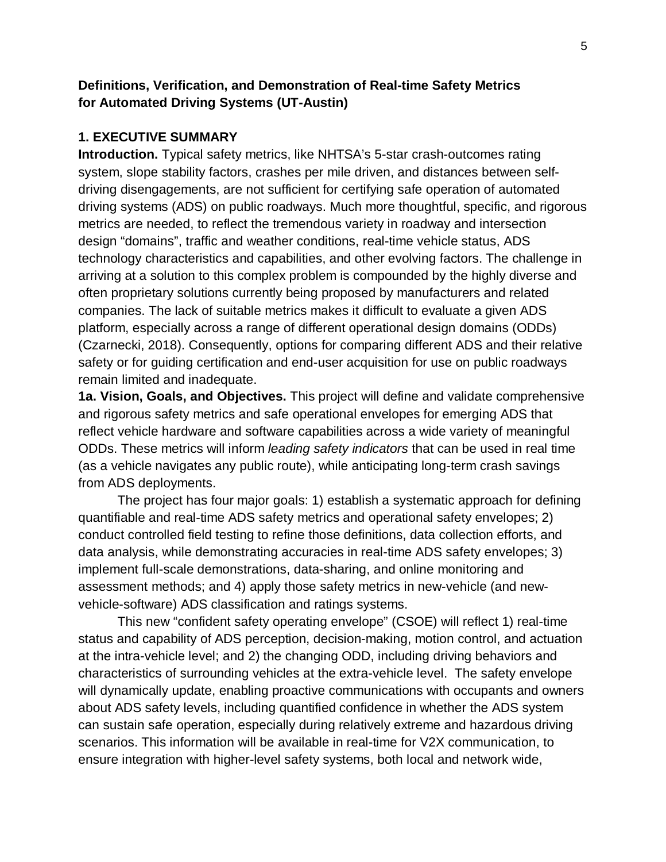### **Definitions, Verification, and Demonstration of Real-time Safety Metrics for Automated Driving Systems (UT-Austin)**

#### **1. EXECUTIVE SUMMARY**

**Introduction.** Typical safety metrics, like NHTSA's 5-star crash-outcomes rating system, slope stability factors, crashes per mile driven, and distances between selfdriving disengagements, are not sufficient for certifying safe operation of automated driving systems (ADS) on public roadways. Much more thoughtful, specific, and rigorous metrics are needed, to reflect the tremendous variety in roadway and intersection design "domains", traffic and weather conditions, real-time vehicle status, ADS technology characteristics and capabilities, and other evolving factors. The challenge in arriving at a solution to this complex problem is compounded by the highly diverse and often proprietary solutions currently being proposed by manufacturers and related companies. The lack of suitable metrics makes it difficult to evaluate a given ADS platform, especially across a range of different operational design domains (ODDs) (Czarnecki, 2018). Consequently, options for comparing different ADS and their relative safety or for guiding certification and end-user acquisition for use on public roadways remain limited and inadequate.

**1a. Vision, Goals, and Objectives.** This project will define and validate comprehensive and rigorous safety metrics and safe operational envelopes for emerging ADS that reflect vehicle hardware and software capabilities across a wide variety of meaningful ODDs. These metrics will inform *leading safety indicators* that can be used in real time (as a vehicle navigates any public route), while anticipating long-term crash savings from ADS deployments.

The project has four major goals: 1) establish a systematic approach for defining quantifiable and real-time ADS safety metrics and operational safety envelopes; 2) conduct controlled field testing to refine those definitions, data collection efforts, and data analysis, while demonstrating accuracies in real-time ADS safety envelopes; 3) implement full-scale demonstrations, data-sharing, and online monitoring and assessment methods; and 4) apply those safety metrics in new-vehicle (and newvehicle-software) ADS classification and ratings systems.

This new "confident safety operating envelope" (CSOE) will reflect 1) real-time status and capability of ADS perception, decision-making, motion control, and actuation at the intra-vehicle level; and 2) the changing ODD, including driving behaviors and characteristics of surrounding vehicles at the extra-vehicle level. The safety envelope will dynamically update, enabling proactive communications with occupants and owners about ADS safety levels, including quantified confidence in whether the ADS system can sustain safe operation, especially during relatively extreme and hazardous driving scenarios. This information will be available in real-time for V2X communication, to ensure integration with higher-level safety systems, both local and network wide,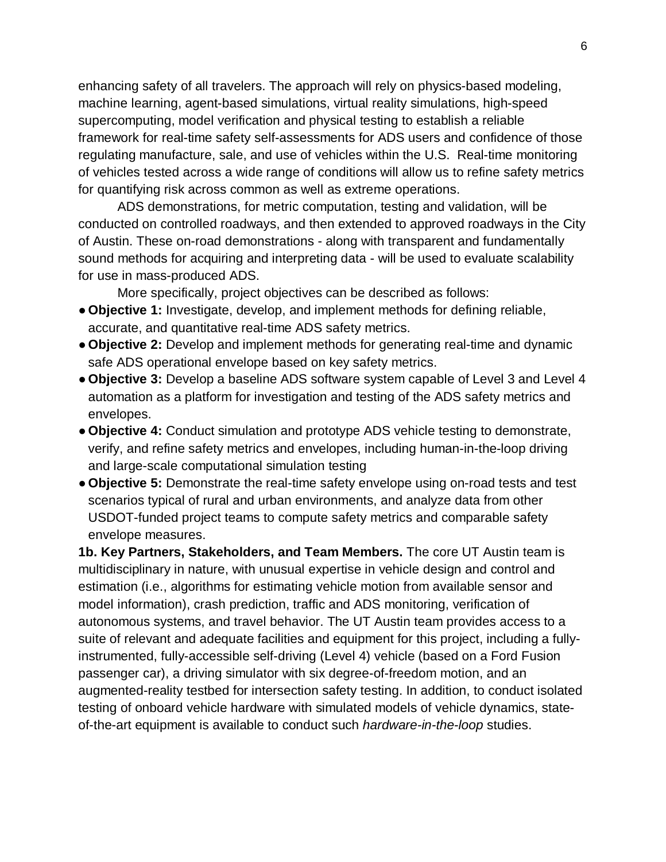enhancing safety of all travelers. The approach will rely on physics-based modeling, machine learning, agent-based simulations, virtual reality simulations, high-speed supercomputing, model verification and physical testing to establish a reliable framework for real-time safety self-assessments for ADS users and confidence of those regulating manufacture, sale, and use of vehicles within the U.S. Real-time monitoring of vehicles tested across a wide range of conditions will allow us to refine safety metrics for quantifying risk across common as well as extreme operations.

ADS demonstrations, for metric computation, testing and validation, will be conducted on controlled roadways, and then extended to approved roadways in the City of Austin. These on-road demonstrations - along with transparent and fundamentally sound methods for acquiring and interpreting data - will be used to evaluate scalability for use in mass-produced ADS.

More specifically, project objectives can be described as follows:

- **Objective 1:** Investigate, develop, and implement methods for defining reliable, accurate, and quantitative real-time ADS safety metrics.
- **Objective 2:** Develop and implement methods for generating real-time and dynamic safe ADS operational envelope based on key safety metrics.
- **Objective 3:** Develop a baseline ADS software system capable of Level 3 and Level 4 automation as a platform for investigation and testing of the ADS safety metrics and envelopes.
- **Objective 4:** Conduct simulation and prototype ADS vehicle testing to demonstrate, verify, and refine safety metrics and envelopes, including human-in-the-loop driving and large-scale computational simulation testing
- **Objective 5:** Demonstrate the real-time safety envelope using on-road tests and test scenarios typical of rural and urban environments, and analyze data from other USDOT-funded project teams to compute safety metrics and comparable safety envelope measures.

**1b. Key Partners, Stakeholders, and Team Members.** The core UT Austin team is multidisciplinary in nature, with unusual expertise in vehicle design and control and estimation (i.e., algorithms for estimating vehicle motion from available sensor and model information), crash prediction, traffic and ADS monitoring, verification of autonomous systems, and travel behavior. The UT Austin team provides access to a suite of relevant and adequate facilities and equipment for this project, including a fullyinstrumented, fully-accessible self-driving (Level 4) vehicle (based on a Ford Fusion passenger car), a driving simulator with six degree-of-freedom motion, and an augmented-reality testbed for intersection safety testing. In addition, to conduct isolated testing of onboard vehicle hardware with simulated models of vehicle dynamics, stateof-the-art equipment is available to conduct such *hardware-in-the-loop* studies.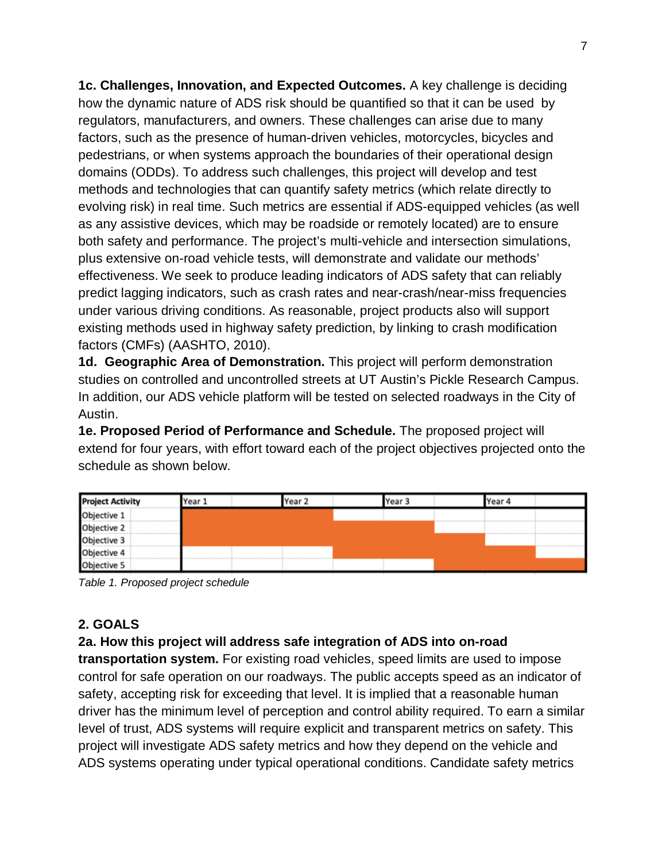**1c. Challenges, Innovation, and Expected Outcomes.** A key challenge is deciding how the dynamic nature of ADS risk should be quantified so that it can be used by regulators, manufacturers, and owners. These challenges can arise due to many factors, such as the presence of human-driven vehicles, motorcycles, bicycles and pedestrians, or when systems approach the boundaries of their operational design domains (ODDs). To address such challenges, this project will develop and test methods and technologies that can quantify safety metrics (which relate directly to evolving risk) in real time. Such metrics are essential if ADS-equipped vehicles (as well as any assistive devices, which may be roadside or remotely located) are to ensure both safety and performance. The project's multi-vehicle and intersection simulations, plus extensive on-road vehicle tests, will demonstrate and validate our methods' effectiveness. We seek to produce leading indicators of ADS safety that can reliably predict lagging indicators, such as crash rates and near-crash/near-miss frequencies under various driving conditions. As reasonable, project products also will support existing methods used in highway safety prediction, by linking to crash modification factors (CMFs) (AASHTO, 2010).

**1d. Geographic Area of Demonstration.** This project will perform demonstration studies on controlled and uncontrolled streets at UT Austin's Pickle Research Campus. In addition, our ADS vehicle platform will be tested on selected roadways in the City of Austin.

**1e. Proposed Period of Performance and Schedule.** The proposed project will extend for four years, with effort toward each of the project objectives projected onto the schedule as shown below.

| <b>Project Activity</b> | Year 1 | Year 2 | Year 3 | Year 4 |  |
|-------------------------|--------|--------|--------|--------|--|
| Objective 1             |        |        |        |        |  |
| Objective 2             |        |        |        |        |  |
| Objective 3             |        |        |        |        |  |
| Objective 4             |        |        |        |        |  |
| Objective 5             |        |        |        |        |  |

*Table 1. Proposed project schedule*

### **2. GOALS**

### **2a. How this project will address safe integration of ADS into on-road**

**transportation system.** For existing road vehicles, speed limits are used to impose control for safe operation on our roadways. The public accepts speed as an indicator of safety, accepting risk for exceeding that level. It is implied that a reasonable human driver has the minimum level of perception and control ability required. To earn a similar level of trust, ADS systems will require explicit and transparent metrics on safety. This project will investigate ADS safety metrics and how they depend on the vehicle and ADS systems operating under typical operational conditions. Candidate safety metrics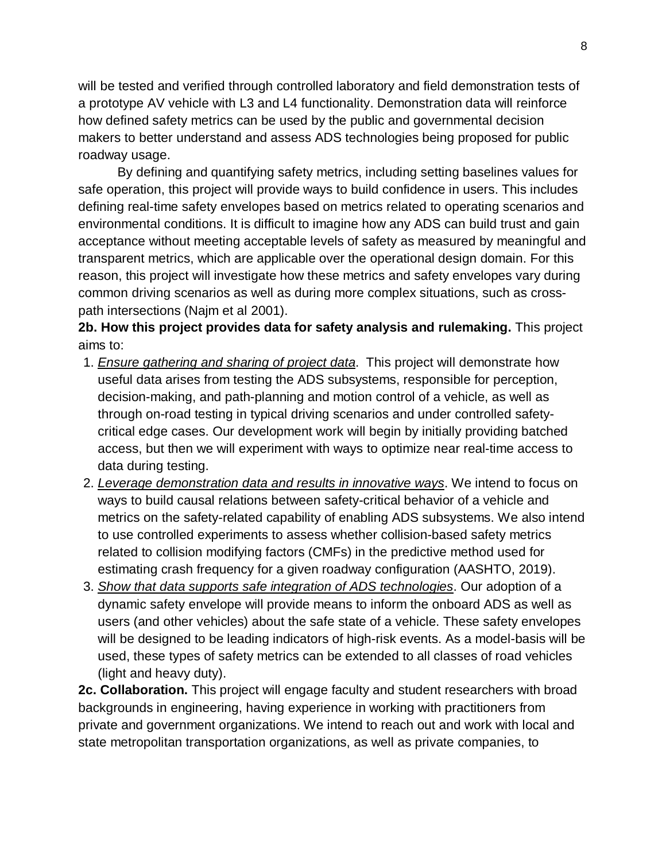will be tested and verified through controlled laboratory and field demonstration tests of a prototype AV vehicle with L3 and L4 functionality. Demonstration data will reinforce how defined safety metrics can be used by the public and governmental decision makers to better understand and assess ADS technologies being proposed for public roadway usage.

By defining and quantifying safety metrics, including setting baselines values for safe operation, this project will provide ways to build confidence in users. This includes defining real-time safety envelopes based on metrics related to operating scenarios and environmental conditions. It is difficult to imagine how any ADS can build trust and gain acceptance without meeting acceptable levels of safety as measured by meaningful and transparent metrics, which are applicable over the operational design domain. For this reason, this project will investigate how these metrics and safety envelopes vary during common driving scenarios as well as during more complex situations, such as crosspath intersections (Najm et al 2001).

**2b. How this project provides data for safety analysis and rulemaking.** This project aims to:

- 1. *Ensure gathering and sharing of project data*. This project will demonstrate how useful data arises from testing the ADS subsystems, responsible for perception, decision-making, and path-planning and motion control of a vehicle, as well as through on-road testing in typical driving scenarios and under controlled safetycritical edge cases. Our development work will begin by initially providing batched access, but then we will experiment with ways to optimize near real-time access to data during testing.
- 2. *Leverage demonstration data and results in innovative ways*. We intend to focus on ways to build causal relations between safety-critical behavior of a vehicle and metrics on the safety-related capability of enabling ADS subsystems. We also intend to use controlled experiments to assess whether collision-based safety metrics related to collision modifying factors (CMFs) in the predictive method used for estimating crash frequency for a given roadway configuration (AASHTO, 2019).
- 3. *Show that data supports safe integration of ADS technologies*. Our adoption of a dynamic safety envelope will provide means to inform the onboard ADS as well as users (and other vehicles) about the safe state of a vehicle. These safety envelopes will be designed to be leading indicators of high-risk events. As a model-basis will be used, these types of safety metrics can be extended to all classes of road vehicles (light and heavy duty).

**2c. Collaboration.** This project will engage faculty and student researchers with broad backgrounds in engineering, having experience in working with practitioners from private and government organizations. We intend to reach out and work with local and state metropolitan transportation organizations, as well as private companies, to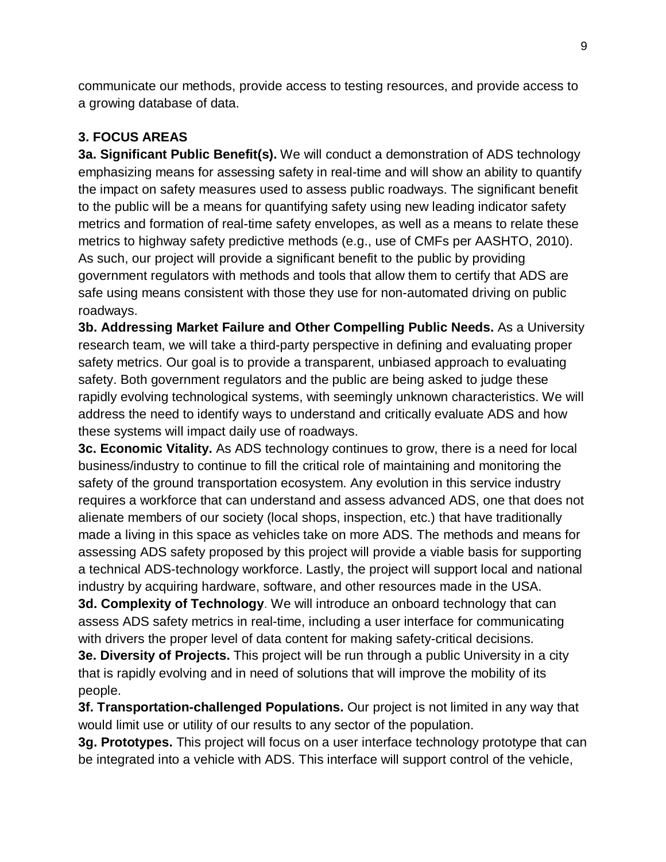communicate our methods, provide access to testing resources, and provide access to a growing database of data.

# **3. FOCUS AREAS**

**3a. Significant Public Benefit(s).** We will conduct a demonstration of ADS technology emphasizing means for assessing safety in real-time and will show an ability to quantify the impact on safety measures used to assess public roadways. The significant benefit to the public will be a means for quantifying safety using new leading indicator safety metrics and formation of real-time safety envelopes, as well as a means to relate these metrics to highway safety predictive methods (e.g., use of CMFs per AASHTO, 2010). As such, our project will provide a significant benefit to the public by providing government regulators with methods and tools that allow them to certify that ADS are safe using means consistent with those they use for non-automated driving on public roadways.

**3b. Addressing Market Failure and Other Compelling Public Needs.** As a University research team, we will take a third-party perspective in defining and evaluating proper safety metrics. Our goal is to provide a transparent, unbiased approach to evaluating safety. Both government regulators and the public are being asked to judge these rapidly evolving technological systems, with seemingly unknown characteristics. We will address the need to identify ways to understand and critically evaluate ADS and how these systems will impact daily use of roadways.

**3c. Economic Vitality.** As ADS technology continues to grow, there is a need for local business/industry to continue to fill the critical role of maintaining and monitoring the safety of the ground transportation ecosystem. Any evolution in this service industry requires a workforce that can understand and assess advanced ADS, one that does not alienate members of our society (local shops, inspection, etc.) that have traditionally made a living in this space as vehicles take on more ADS. The methods and means for assessing ADS safety proposed by this project will provide a viable basis for supporting a technical ADS-technology workforce. Lastly, the project will support local and national industry by acquiring hardware, software, and other resources made in the USA.

**3d. Complexity of Technology**. We will introduce an onboard technology that can assess ADS safety metrics in real-time, including a user interface for communicating with drivers the proper level of data content for making safety-critical decisions.

**3e. Diversity of Projects.** This project will be run through a public University in a city that is rapidly evolving and in need of solutions that will improve the mobility of its people.

**3f. Transportation-challenged Populations.** Our project is not limited in any way that would limit use or utility of our results to any sector of the population.

**3g. Prototypes.** This project will focus on a user interface technology prototype that can be integrated into a vehicle with ADS. This interface will support control of the vehicle,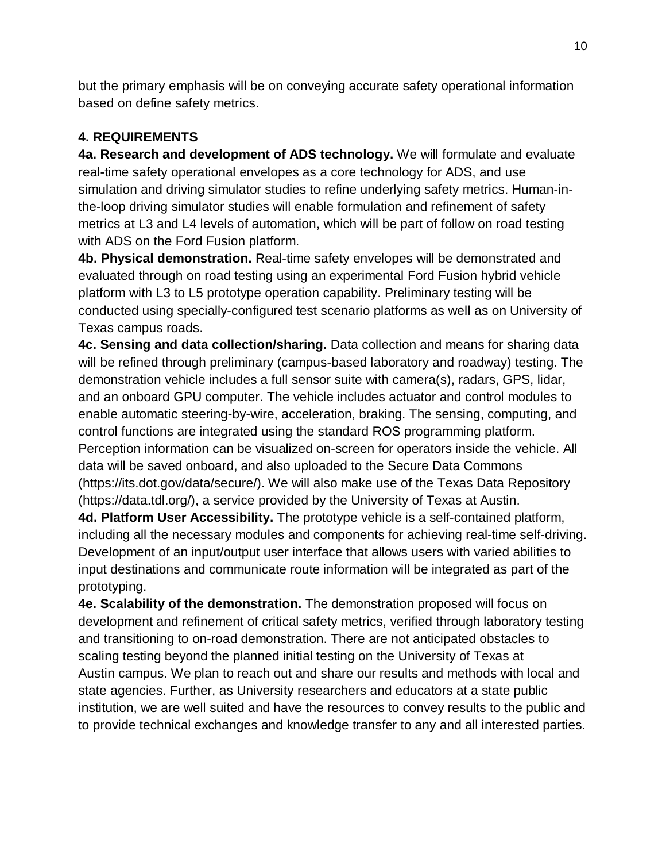but the primary emphasis will be on conveying accurate safety operational information based on define safety metrics.

# **4. REQUIREMENTS**

**4a. Research and development of ADS technology.** We will formulate and evaluate real-time safety operational envelopes as a core technology for ADS, and use simulation and driving simulator studies to refine underlying safety metrics. Human-inthe-loop driving simulator studies will enable formulation and refinement of safety metrics at L3 and L4 levels of automation, which will be part of follow on road testing with ADS on the Ford Fusion platform.

**4b. Physical demonstration.** Real-time safety envelopes will be demonstrated and evaluated through on road testing using an experimental Ford Fusion hybrid vehicle platform with L3 to L5 prototype operation capability. Preliminary testing will be conducted using specially-configured test scenario platforms as well as on University of Texas campus roads.

**4c. Sensing and data collection/sharing.** Data collection and means for sharing data will be refined through preliminary (campus-based laboratory and roadway) testing. The demonstration vehicle includes a full sensor suite with camera(s), radars, GPS, lidar, and an onboard GPU computer. The vehicle includes actuator and control modules to enable automatic steering-by-wire, acceleration, braking. The sensing, computing, and control functions are integrated using the standard ROS programming platform. Perception information can be visualized on-screen for operators inside the vehicle. All data will be saved onboard, and also uploaded to the Secure Data Commons (https://its.dot.gov/data/secure/). We will also make use of the Texas Data Repository (https://data.tdl.org/), a service provided by the University of Texas at Austin.

**4d. Platform User Accessibility.** The prototype vehicle is a self-contained platform, including all the necessary modules and components for achieving real-time self-driving. Development of an input/output user interface that allows users with varied abilities to input destinations and communicate route information will be integrated as part of the prototyping.

**4e. Scalability of the demonstration.** The demonstration proposed will focus on development and refinement of critical safety metrics, verified through laboratory testing and transitioning to on-road demonstration. There are not anticipated obstacles to scaling testing beyond the planned initial testing on the University of Texas at Austin campus. We plan to reach out and share our results and methods with local and state agencies. Further, as University researchers and educators at a state public institution, we are well suited and have the resources to convey results to the public and to provide technical exchanges and knowledge transfer to any and all interested parties.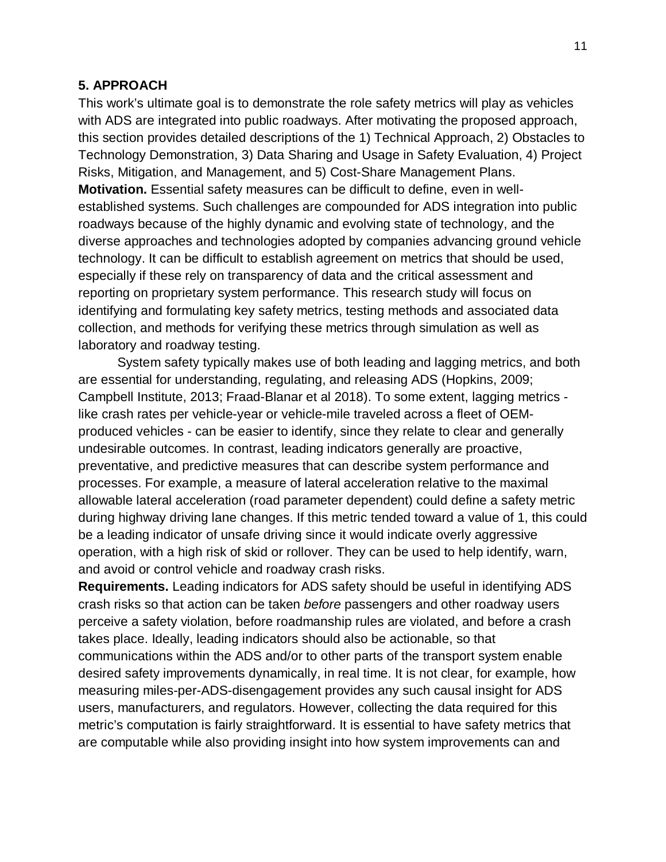#### **5. APPROACH**

This work's ultimate goal is to demonstrate the role safety metrics will play as vehicles with ADS are integrated into public roadways. After motivating the proposed approach, this section provides detailed descriptions of the 1) Technical Approach, 2) Obstacles to Technology Demonstration, 3) Data Sharing and Usage in Safety Evaluation, 4) Project Risks, Mitigation, and Management, and 5) Cost-Share Management Plans. **Motivation.** Essential safety measures can be difficult to define, even in wellestablished systems. Such challenges are compounded for ADS integration into public roadways because of the highly dynamic and evolving state of technology, and the diverse approaches and technologies adopted by companies advancing ground vehicle technology. It can be difficult to establish agreement on metrics that should be used, especially if these rely on transparency of data and the critical assessment and reporting on proprietary system performance. This research study will focus on identifying and formulating key safety metrics, testing methods and associated data collection, and methods for verifying these metrics through simulation as well as laboratory and roadway testing.

System safety typically makes use of both leading and lagging metrics, and both are essential for understanding, regulating, and releasing ADS (Hopkins, 2009; Campbell Institute, 2013; Fraad-Blanar et al 2018). To some extent, lagging metrics like crash rates per vehicle-year or vehicle-mile traveled across a fleet of OEMproduced vehicles - can be easier to identify, since they relate to clear and generally undesirable outcomes. In contrast, leading indicators generally are proactive, preventative, and predictive measures that can describe system performance and processes. For example, a measure of lateral acceleration relative to the maximal allowable lateral acceleration (road parameter dependent) could define a safety metric during highway driving lane changes. If this metric tended toward a value of 1, this could be a leading indicator of unsafe driving since it would indicate overly aggressive operation, with a high risk of skid or rollover. They can be used to help identify, warn, and avoid or control vehicle and roadway crash risks.

**Requirements.** Leading indicators for ADS safety should be useful in identifying ADS crash risks so that action can be taken *before* passengers and other roadway users perceive a safety violation, before roadmanship rules are violated, and before a crash takes place. Ideally, leading indicators should also be actionable, so that communications within the ADS and/or to other parts of the transport system enable desired safety improvements dynamically, in real time. It is not clear, for example, how measuring miles-per-ADS-disengagement provides any such causal insight for ADS users, manufacturers, and regulators. However, collecting the data required for this metric's computation is fairly straightforward. It is essential to have safety metrics that are computable while also providing insight into how system improvements can and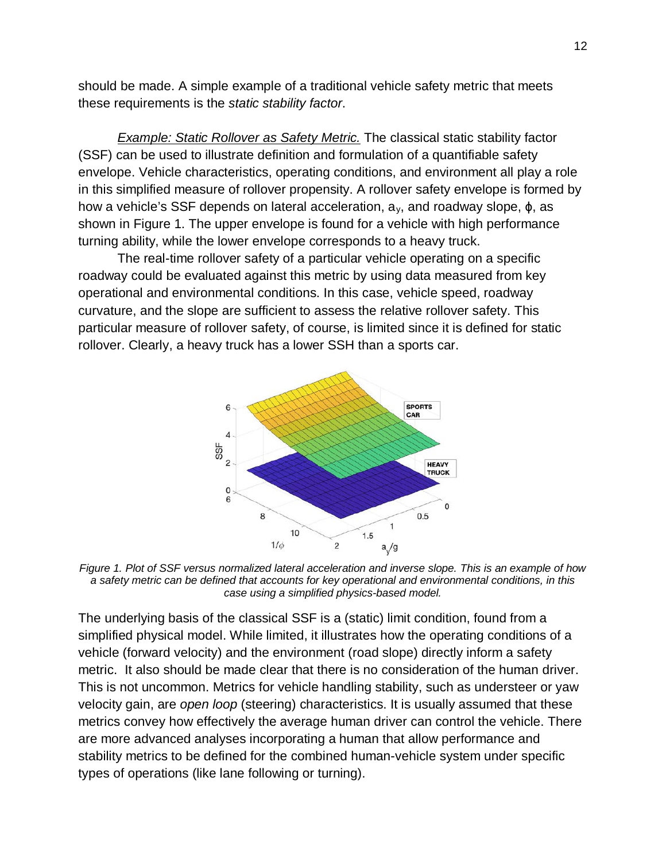should be made. A simple example of a traditional vehicle safety metric that meets these requirements is the *static stability factor*.

**Example: Static Rollover as Safety Metric.** The classical static stability factor (SSF) can be used to illustrate definition and formulation of a quantifiable safety envelope. Vehicle characteristics, operating conditions, and environment all play a role in this simplified measure of rollover propensity. A rollover safety envelope is formed by how a vehicle's SSF depends on lateral acceleration, ay, and roadway slope, ϕ, as shown in Figure 1. The upper envelope is found for a vehicle with high performance turning ability, while the lower envelope corresponds to a heavy truck.

The real-time rollover safety of a particular vehicle operating on a specific roadway could be evaluated against this metric by using data measured from key operational and environmental conditions. In this case, vehicle speed, roadway curvature, and the slope are sufficient to assess the relative rollover safety. This particular measure of rollover safety, of course, is limited since it is defined for static rollover. Clearly, a heavy truck has a lower SSH than a sports car.



*Figure 1. Plot of SSF versus normalized lateral acceleration and inverse slope. This is an example of how a safety metric can be defined that accounts for key operational and environmental conditions, in this case using a simplified physics-based model.*

The underlying basis of the classical SSF is a (static) limit condition, found from a simplified physical model. While limited, it illustrates how the operating conditions of a vehicle (forward velocity) and the environment (road slope) directly inform a safety metric. It also should be made clear that there is no consideration of the human driver. This is not uncommon. Metrics for vehicle handling stability, such as understeer or yaw velocity gain, are *open loop* (steering) characteristics. It is usually assumed that these metrics convey how effectively the average human driver can control the vehicle. There are more advanced analyses incorporating a human that allow performance and stability metrics to be defined for the combined human-vehicle system under specific types of operations (like lane following or turning).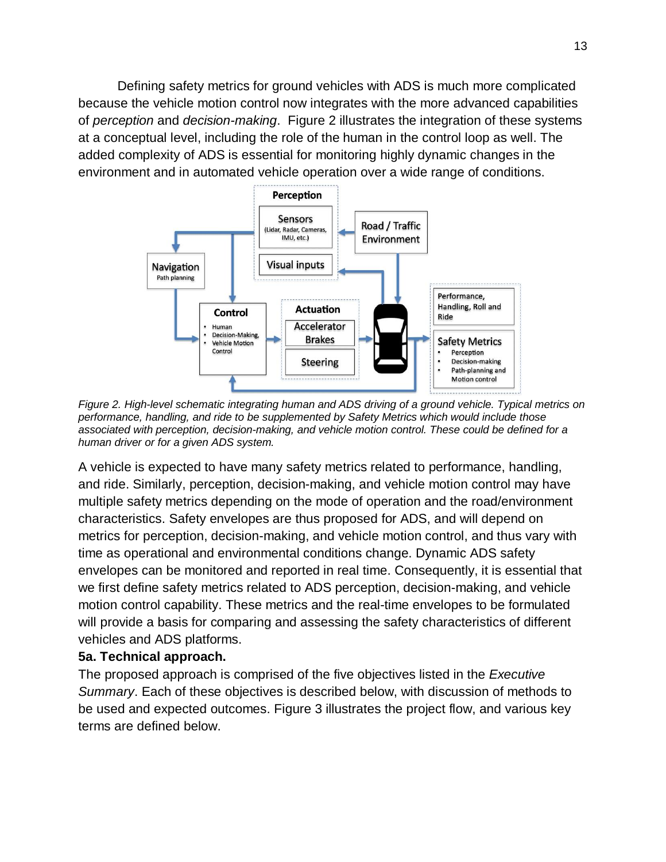Defining safety metrics for ground vehicles with ADS is much more complicated because the vehicle motion control now integrates with the more advanced capabilities of *perception* and *decision-making*. Figure 2 illustrates the integration of these systems at a conceptual level, including the role of the human in the control loop as well. The added complexity of ADS is essential for monitoring highly dynamic changes in the environment and in automated vehicle operation over a wide range of conditions.



*Figure 2. High-level schematic integrating human and ADS driving of a ground vehicle. Typical metrics on performance, handling, and ride to be supplemented by Safety Metrics which would include those associated with perception, decision-making, and vehicle motion control. These could be defined for a human driver or for a given ADS system.*

A vehicle is expected to have many safety metrics related to performance, handling, and ride. Similarly, perception, decision-making, and vehicle motion control may have multiple safety metrics depending on the mode of operation and the road/environment characteristics. Safety envelopes are thus proposed for ADS, and will depend on metrics for perception, decision-making, and vehicle motion control, and thus vary with time as operational and environmental conditions change. Dynamic ADS safety envelopes can be monitored and reported in real time. Consequently, it is essential that we first define safety metrics related to ADS perception, decision-making, and vehicle motion control capability. These metrics and the real-time envelopes to be formulated will provide a basis for comparing and assessing the safety characteristics of different vehicles and ADS platforms.

#### **5a. Technical approach.**

The proposed approach is comprised of the five objectives listed in the *Executive Summary*. Each of these objectives is described below, with discussion of methods to be used and expected outcomes. Figure 3 illustrates the project flow, and various key terms are defined below.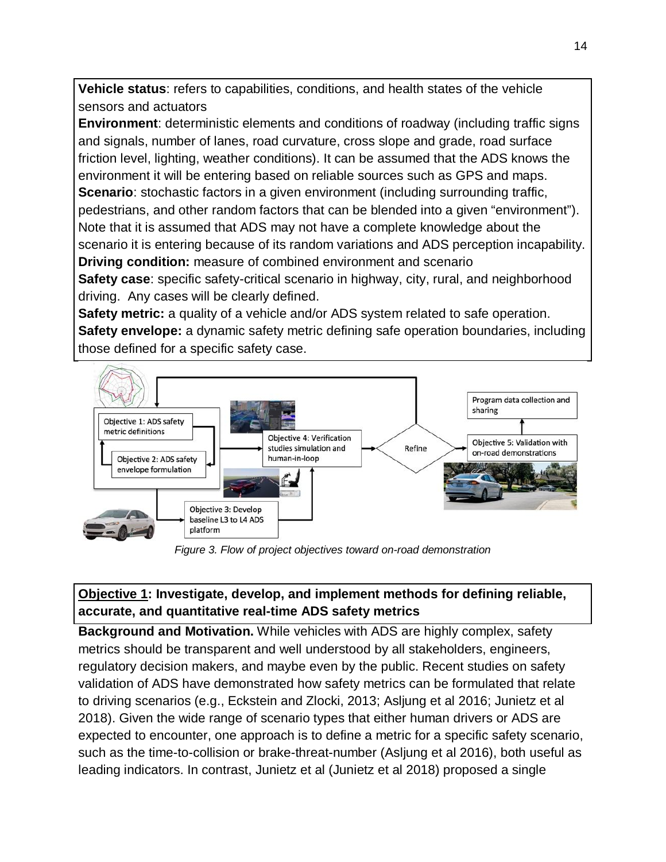**Vehicle status**: refers to capabilities, conditions, and health states of the vehicle sensors and actuators

**Environment**: deterministic elements and conditions of roadway (including traffic signs and signals, number of lanes, road curvature, cross slope and grade, road surface friction level, lighting, weather conditions). It can be assumed that the ADS knows the environment it will be entering based on reliable sources such as GPS and maps. **Scenario**: stochastic factors in a given environment (including surrounding traffic, pedestrians, and other random factors that can be blended into a given "environment"). Note that it is assumed that ADS may not have a complete knowledge about the scenario it is entering because of its random variations and ADS perception incapability. **Driving condition:** measure of combined environment and scenario **Safety case**: specific safety-critical scenario in highway, city, rural, and neighborhood driving. Any cases will be clearly defined.

**Safety metric:** a quality of a vehicle and/or ADS system related to safe operation. **Safety envelope:** a dynamic safety metric defining safe operation boundaries, including those defined for a specific safety case.



*Figure 3. Flow of project objectives toward on-road demonstration*

### **Objective 1: Investigate, develop, and implement methods for defining reliable, accurate, and quantitative real-time ADS safety metrics**

**Background and Motivation.** While vehicles with ADS are highly complex, safety metrics should be transparent and well understood by all stakeholders, engineers, regulatory decision makers, and maybe even by the public. Recent studies on safety validation of ADS have demonstrated how safety metrics can be formulated that relate to driving scenarios (e.g., Eckstein and Zlocki, 2013; Asljung et al 2016; Junietz et al 2018). Given the wide range of scenario types that either human drivers or ADS are expected to encounter, one approach is to define a metric for a specific safety scenario, such as the time-to-collision or brake-threat-number (Asljung et al 2016), both useful as leading indicators. In contrast, Junietz et al (Junietz et al 2018) proposed a single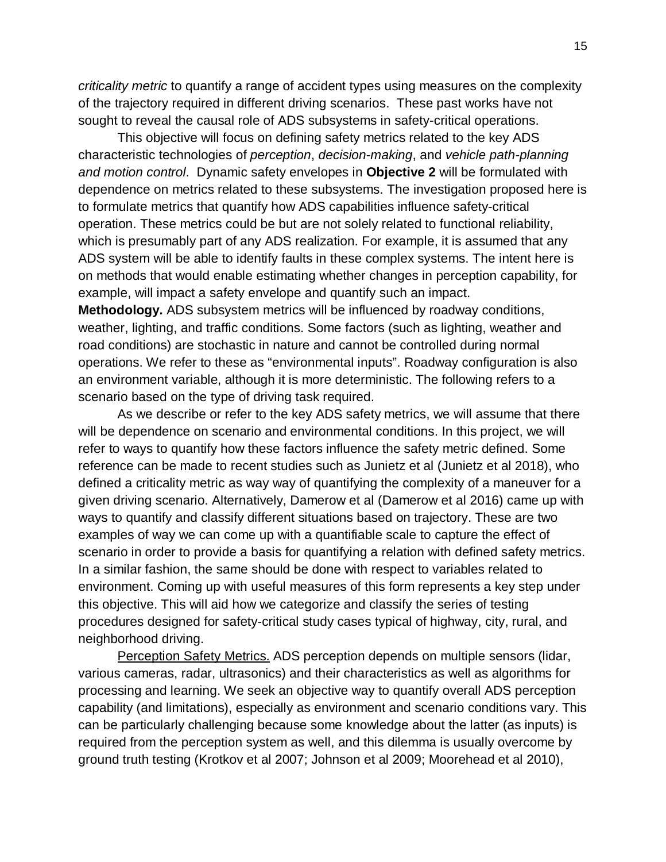*criticality metric* to quantify a range of accident types using measures on the complexity of the trajectory required in different driving scenarios. These past works have not sought to reveal the causal role of ADS subsystems in safety-critical operations.

This objective will focus on defining safety metrics related to the key ADS characteristic technologies of *perception*, *decision-making*, and *vehicle path-planning and motion control*. Dynamic safety envelopes in **Objective 2** will be formulated with dependence on metrics related to these subsystems. The investigation proposed here is to formulate metrics that quantify how ADS capabilities influence safety-critical operation. These metrics could be but are not solely related to functional reliability, which is presumably part of any ADS realization. For example, it is assumed that any ADS system will be able to identify faults in these complex systems. The intent here is on methods that would enable estimating whether changes in perception capability, for example, will impact a safety envelope and quantify such an impact.

**Methodology.** ADS subsystem metrics will be influenced by roadway conditions, weather, lighting, and traffic conditions. Some factors (such as lighting, weather and road conditions) are stochastic in nature and cannot be controlled during normal operations. We refer to these as "environmental inputs". Roadway configuration is also an environment variable, although it is more deterministic. The following refers to a scenario based on the type of driving task required.

As we describe or refer to the key ADS safety metrics, we will assume that there will be dependence on scenario and environmental conditions. In this project, we will refer to ways to quantify how these factors influence the safety metric defined. Some reference can be made to recent studies such as Junietz et al (Junietz et al 2018), who defined a criticality metric as way way of quantifying the complexity of a maneuver for a given driving scenario. Alternatively, Damerow et al (Damerow et al 2016) came up with ways to quantify and classify different situations based on trajectory. These are two examples of way we can come up with a quantifiable scale to capture the effect of scenario in order to provide a basis for quantifying a relation with defined safety metrics. In a similar fashion, the same should be done with respect to variables related to environment. Coming up with useful measures of this form represents a key step under this objective. This will aid how we categorize and classify the series of testing procedures designed for safety-critical study cases typical of highway, city, rural, and neighborhood driving.

Perception Safety Metrics. ADS perception depends on multiple sensors (lidar, various cameras, radar, ultrasonics) and their characteristics as well as algorithms for processing and learning. We seek an objective way to quantify overall ADS perception capability (and limitations), especially as environment and scenario conditions vary. This can be particularly challenging because some knowledge about the latter (as inputs) is required from the perception system as well, and this dilemma is usually overcome by ground truth testing (Krotkov et al 2007; Johnson et al 2009; Moorehead et al 2010),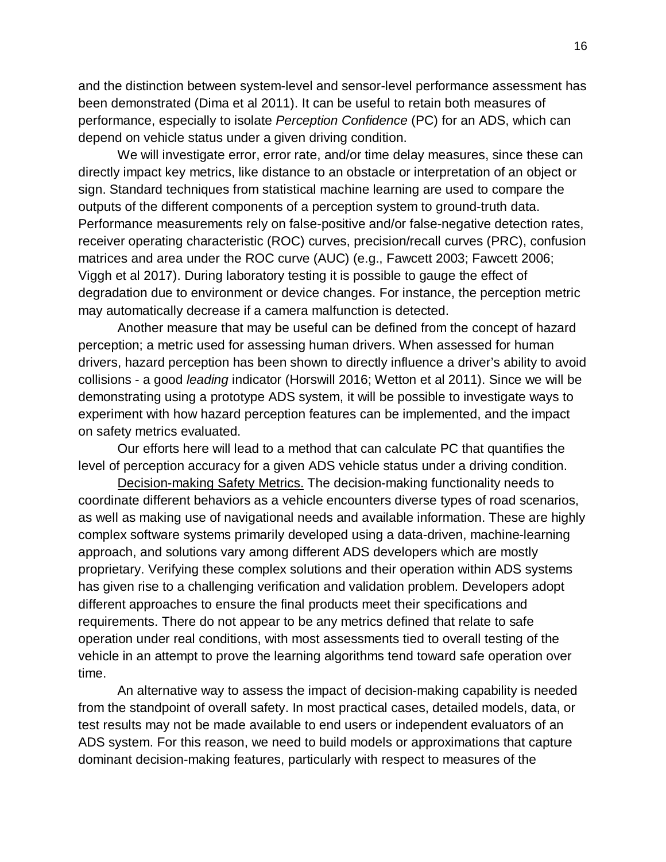and the distinction between system-level and sensor-level performance assessment has been demonstrated (Dima et al 2011). It can be useful to retain both measures of performance, especially to isolate *Perception Confidence* (PC) for an ADS, which can depend on vehicle status under a given driving condition.

We will investigate error, error rate, and/or time delay measures, since these can directly impact key metrics, like distance to an obstacle or interpretation of an object or sign. Standard techniques from statistical machine learning are used to compare the outputs of the different components of a perception system to ground-truth data. Performance measurements rely on false-positive and/or false-negative detection rates, receiver operating characteristic (ROC) curves, precision/recall curves (PRC), confusion matrices and area under the ROC curve (AUC) (e.g., Fawcett 2003; Fawcett 2006; Viggh et al 2017). During laboratory testing it is possible to gauge the effect of degradation due to environment or device changes. For instance, the perception metric may automatically decrease if a camera malfunction is detected.

Another measure that may be useful can be defined from the concept of hazard perception; a metric used for assessing human drivers. When assessed for human drivers, hazard perception has been shown to directly influence a driver's ability to avoid collisions - a good *leading* indicator (Horswill 2016; Wetton et al 2011). Since we will be demonstrating using a prototype ADS system, it will be possible to investigate ways to experiment with how hazard perception features can be implemented, and the impact on safety metrics evaluated.

Our efforts here will lead to a method that can calculate PC that quantifies the level of perception accuracy for a given ADS vehicle status under a driving condition.

Decision-making Safety Metrics. The decision-making functionality needs to coordinate different behaviors as a vehicle encounters diverse types of road scenarios, as well as making use of navigational needs and available information. These are highly complex software systems primarily developed using a data-driven, machine-learning approach, and solutions vary among different ADS developers which are mostly proprietary. Verifying these complex solutions and their operation within ADS systems has given rise to a challenging verification and validation problem. Developers adopt different approaches to ensure the final products meet their specifications and requirements. There do not appear to be any metrics defined that relate to safe operation under real conditions, with most assessments tied to overall testing of the vehicle in an attempt to prove the learning algorithms tend toward safe operation over time.

An alternative way to assess the impact of decision-making capability is needed from the standpoint of overall safety. In most practical cases, detailed models, data, or test results may not be made available to end users or independent evaluators of an ADS system. For this reason, we need to build models or approximations that capture dominant decision-making features, particularly with respect to measures of the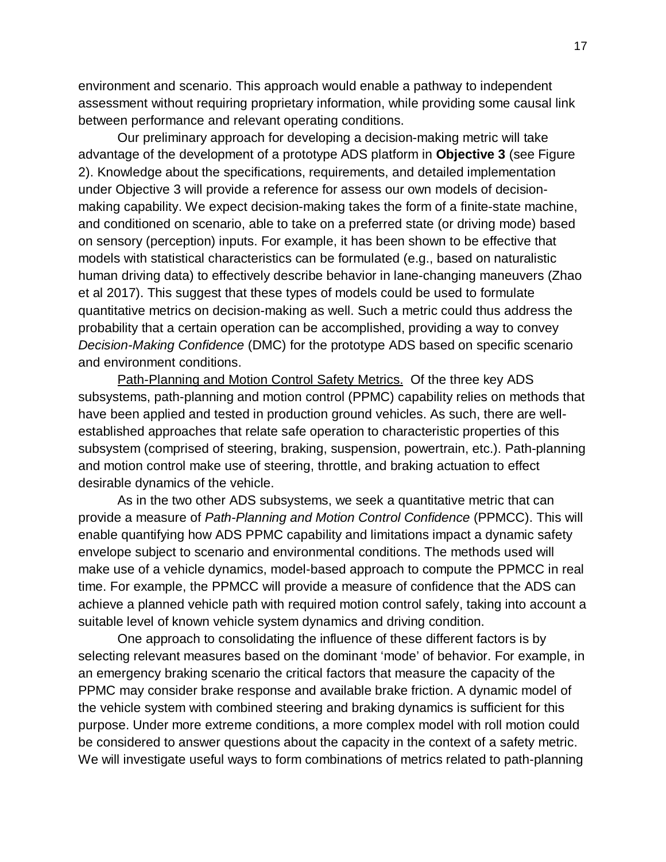environment and scenario. This approach would enable a pathway to independent assessment without requiring proprietary information, while providing some causal link between performance and relevant operating conditions.

Our preliminary approach for developing a decision-making metric will take advantage of the development of a prototype ADS platform in **Objective 3** (see Figure 2). Knowledge about the specifications, requirements, and detailed implementation under Objective 3 will provide a reference for assess our own models of decisionmaking capability. We expect decision-making takes the form of a finite-state machine, and conditioned on scenario, able to take on a preferred state (or driving mode) based on sensory (perception) inputs. For example, it has been shown to be effective that models with statistical characteristics can be formulated (e.g., based on naturalistic human driving data) to effectively describe behavior in lane-changing maneuvers (Zhao et al 2017). This suggest that these types of models could be used to formulate quantitative metrics on decision-making as well. Such a metric could thus address the probability that a certain operation can be accomplished, providing a way to convey *Decision-Making Confidence* (DMC) for the prototype ADS based on specific scenario and environment conditions.

Path-Planning and Motion Control Safety Metrics. Of the three key ADS subsystems, path-planning and motion control (PPMC) capability relies on methods that have been applied and tested in production ground vehicles. As such, there are wellestablished approaches that relate safe operation to characteristic properties of this subsystem (comprised of steering, braking, suspension, powertrain, etc.). Path-planning and motion control make use of steering, throttle, and braking actuation to effect desirable dynamics of the vehicle.

As in the two other ADS subsystems, we seek a quantitative metric that can provide a measure of *Path-Planning and Motion Control Confidence* (PPMCC). This will enable quantifying how ADS PPMC capability and limitations impact a dynamic safety envelope subject to scenario and environmental conditions. The methods used will make use of a vehicle dynamics, model-based approach to compute the PPMCC in real time. For example, the PPMCC will provide a measure of confidence that the ADS can achieve a planned vehicle path with required motion control safely, taking into account a suitable level of known vehicle system dynamics and driving condition.

One approach to consolidating the influence of these different factors is by selecting relevant measures based on the dominant 'mode' of behavior. For example, in an emergency braking scenario the critical factors that measure the capacity of the PPMC may consider brake response and available brake friction. A dynamic model of the vehicle system with combined steering and braking dynamics is sufficient for this purpose. Under more extreme conditions, a more complex model with roll motion could be considered to answer questions about the capacity in the context of a safety metric. We will investigate useful ways to form combinations of metrics related to path-planning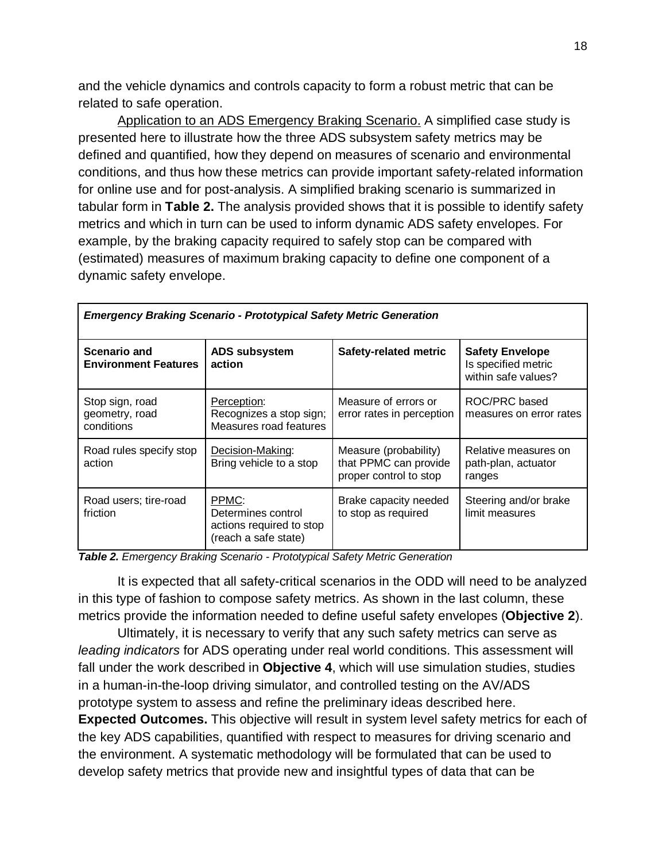and the vehicle dynamics and controls capacity to form a robust metric that can be related to safe operation.

Application to an ADS Emergency Braking Scenario. A simplified case study is presented here to illustrate how the three ADS subsystem safety metrics may be defined and quantified, how they depend on measures of scenario and environmental conditions, and thus how these metrics can provide important safety-related information for online use and for post-analysis. A simplified braking scenario is summarized in tabular form in **Table 2.** The analysis provided shows that it is possible to identify safety metrics and which in turn can be used to inform dynamic ADS safety envelopes. For example, by the braking capacity required to safely stop can be compared with (estimated) measures of maximum braking capacity to define one component of a dynamic safety envelope.

| <b>Emergency Braking Scenario - Prototypical Safety Metric Generation</b> |                                                                                 |                                                                          |                                                                      |  |  |  |
|---------------------------------------------------------------------------|---------------------------------------------------------------------------------|--------------------------------------------------------------------------|----------------------------------------------------------------------|--|--|--|
| Scenario and<br><b>Environment Features</b>                               | <b>ADS subsystem</b><br>action                                                  | Safety-related metric                                                    | <b>Safety Envelope</b><br>Is specified metric<br>within safe values? |  |  |  |
| Stop sign, road<br>geometry, road<br>conditions                           | Perception:<br>Recognizes a stop sign;<br>Measures road features                | Measure of errors or<br>error rates in perception                        | ROC/PRC based<br>measures on error rates                             |  |  |  |
| Road rules specify stop<br>action                                         | Decision-Making:<br>Bring vehicle to a stop                                     | Measure (probability)<br>that PPMC can provide<br>proper control to stop | Relative measures on<br>path-plan, actuator<br>ranges                |  |  |  |
| Road users; tire-road<br>friction                                         | PPMC:<br>Determines control<br>actions required to stop<br>(reach a safe state) | Brake capacity needed<br>to stop as required                             | Steering and/or brake<br>limit measures                              |  |  |  |

*Emergency Braking Scenario - Prototypical Safety Metric Generation*

*Table 2. Emergency Braking Scenario - Prototypical Safety Metric Generation*

It is expected that all safety-critical scenarios in the ODD will need to be analyzed in this type of fashion to compose safety metrics. As shown in the last column, these metrics provide the information needed to define useful safety envelopes (**Objective 2**).

Ultimately, it is necessary to verify that any such safety metrics can serve as *leading indicators* for ADS operating under real world conditions. This assessment will fall under the work described in **Objective 4**, which will use simulation studies, studies in a human-in-the-loop driving simulator, and controlled testing on the AV/ADS prototype system to assess and refine the preliminary ideas described here.

**Expected Outcomes.** This objective will result in system level safety metrics for each of the key ADS capabilities, quantified with respect to measures for driving scenario and the environment. A systematic methodology will be formulated that can be used to develop safety metrics that provide new and insightful types of data that can be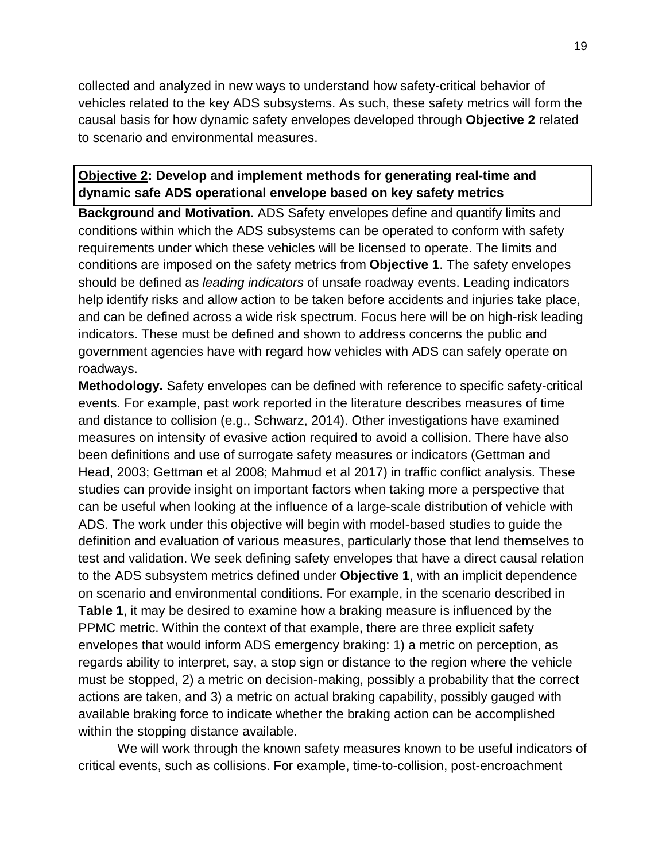collected and analyzed in new ways to understand how safety-critical behavior of vehicles related to the key ADS subsystems. As such, these safety metrics will form the causal basis for how dynamic safety envelopes developed through **Objective 2** related to scenario and environmental measures.

## **Objective 2: Develop and implement methods for generating real-time and dynamic safe ADS operational envelope based on key safety metrics**

**Background and Motivation.** ADS Safety envelopes define and quantify limits and conditions within which the ADS subsystems can be operated to conform with safety requirements under which these vehicles will be licensed to operate. The limits and conditions are imposed on the safety metrics from **Objective 1**. The safety envelopes should be defined as *leading indicators* of unsafe roadway events. Leading indicators help identify risks and allow action to be taken before accidents and injuries take place, and can be defined across a wide risk spectrum. Focus here will be on high-risk leading indicators. These must be defined and shown to address concerns the public and government agencies have with regard how vehicles with ADS can safely operate on roadways.

**Methodology.** Safety envelopes can be defined with reference to specific safety-critical events. For example, past work reported in the literature describes measures of time and distance to collision (e.g., Schwarz, 2014). Other investigations have examined measures on intensity of evasive action required to avoid a collision. There have also been definitions and use of surrogate safety measures or indicators (Gettman and Head, 2003; Gettman et al 2008; Mahmud et al 2017) in traffic conflict analysis. These studies can provide insight on important factors when taking more a perspective that can be useful when looking at the influence of a large-scale distribution of vehicle with ADS. The work under this objective will begin with model-based studies to guide the definition and evaluation of various measures, particularly those that lend themselves to test and validation. We seek defining safety envelopes that have a direct causal relation to the ADS subsystem metrics defined under **Objective 1**, with an implicit dependence on scenario and environmental conditions. For example, in the scenario described in **Table 1**, it may be desired to examine how a braking measure is influenced by the PPMC metric. Within the context of that example, there are three explicit safety envelopes that would inform ADS emergency braking: 1) a metric on perception, as regards ability to interpret, say, a stop sign or distance to the region where the vehicle must be stopped, 2) a metric on decision-making, possibly a probability that the correct actions are taken, and 3) a metric on actual braking capability, possibly gauged with available braking force to indicate whether the braking action can be accomplished within the stopping distance available.

We will work through the known safety measures known to be useful indicators of critical events, such as collisions. For example, time-to-collision, post-encroachment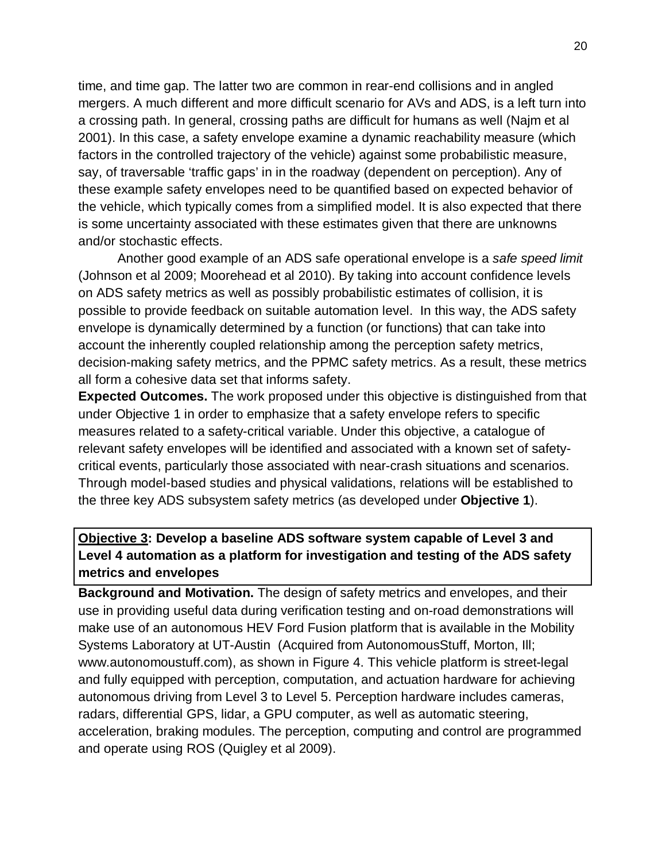time, and time gap. The latter two are common in rear-end collisions and in angled mergers. A much different and more difficult scenario for AVs and ADS, is a left turn into a crossing path. In general, crossing paths are difficult for humans as well (Najm et al 2001). In this case, a safety envelope examine a dynamic reachability measure (which factors in the controlled trajectory of the vehicle) against some probabilistic measure, say, of traversable 'traffic gaps' in in the roadway (dependent on perception). Any of these example safety envelopes need to be quantified based on expected behavior of the vehicle, which typically comes from a simplified model. It is also expected that there is some uncertainty associated with these estimates given that there are unknowns and/or stochastic effects.

Another good example of an ADS safe operational envelope is a *safe speed limit*  (Johnson et al 2009; Moorehead et al 2010). By taking into account confidence levels on ADS safety metrics as well as possibly probabilistic estimates of collision, it is possible to provide feedback on suitable automation level. In this way, the ADS safety envelope is dynamically determined by a function (or functions) that can take into account the inherently coupled relationship among the perception safety metrics, decision-making safety metrics, and the PPMC safety metrics. As a result, these metrics all form a cohesive data set that informs safety.

**Expected Outcomes.** The work proposed under this objective is distinguished from that under Objective 1 in order to emphasize that a safety envelope refers to specific measures related to a safety-critical variable. Under this objective, a catalogue of relevant safety envelopes will be identified and associated with a known set of safetycritical events, particularly those associated with near-crash situations and scenarios. Through model-based studies and physical validations, relations will be established to the three key ADS subsystem safety metrics (as developed under **Objective 1**).

## **Objective 3: Develop a baseline ADS software system capable of Level 3 and Level 4 automation as a platform for investigation and testing of the ADS safety metrics and envelopes**

**Background and Motivation.** The design of safety metrics and envelopes, and their use in providing useful data during verification testing and on-road demonstrations will make use of an autonomous HEV Ford Fusion platform that is available in the Mobility Systems Laboratory at UT-Austin (Acquired from AutonomousStuff, Morton, Ill; www.autonomoustuff.com), as shown in Figure 4. This vehicle platform is street-legal and fully equipped with perception, computation, and actuation hardware for achieving autonomous driving from Level 3 to Level 5. Perception hardware includes cameras, radars, differential GPS, lidar, a GPU computer, as well as automatic steering, acceleration, braking modules. The perception, computing and control are programmed and operate using ROS (Quigley et al 2009).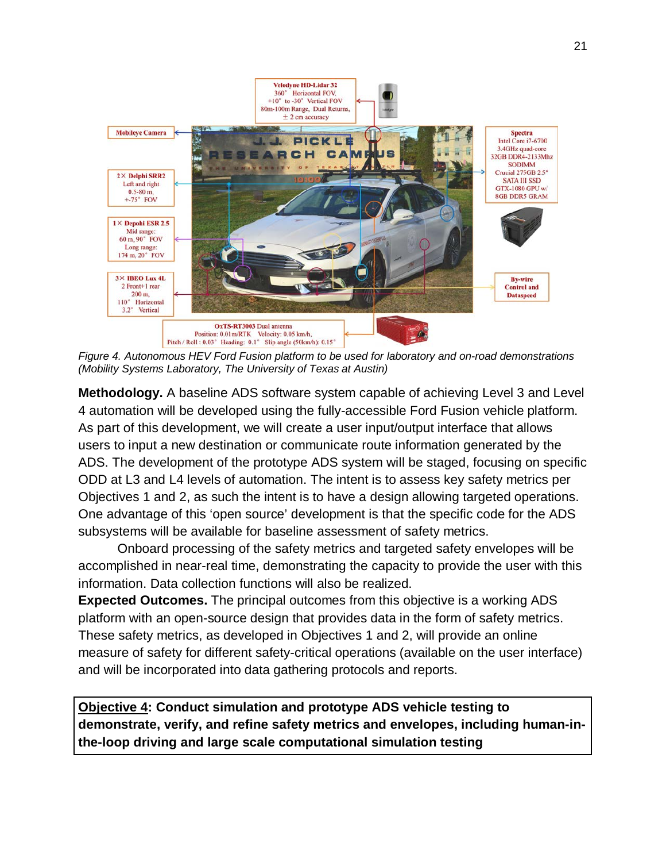

*Figure 4. Autonomous HEV Ford Fusion platform to be used for laboratory and on-road demonstrations (Mobility Systems Laboratory, The University of Texas at Austin)*

**Methodology.** A baseline ADS software system capable of achieving Level 3 and Level 4 automation will be developed using the fully-accessible Ford Fusion vehicle platform. As part of this development, we will create a user input/output interface that allows users to input a new destination or communicate route information generated by the ADS. The development of the prototype ADS system will be staged, focusing on specific ODD at L3 and L4 levels of automation. The intent is to assess key safety metrics per Objectives 1 and 2, as such the intent is to have a design allowing targeted operations. One advantage of this 'open source' development is that the specific code for the ADS subsystems will be available for baseline assessment of safety metrics.

Onboard processing of the safety metrics and targeted safety envelopes will be accomplished in near-real time, demonstrating the capacity to provide the user with this information. Data collection functions will also be realized.

**Expected Outcomes.** The principal outcomes from this objective is a working ADS platform with an open-source design that provides data in the form of safety metrics. These safety metrics, as developed in Objectives 1 and 2, will provide an online measure of safety for different safety-critical operations (available on the user interface) and will be incorporated into data gathering protocols and reports.

**Objective 4: Conduct simulation and prototype ADS vehicle testing to demonstrate, verify, and refine safety metrics and envelopes, including human-inthe-loop driving and large scale computational simulation testing**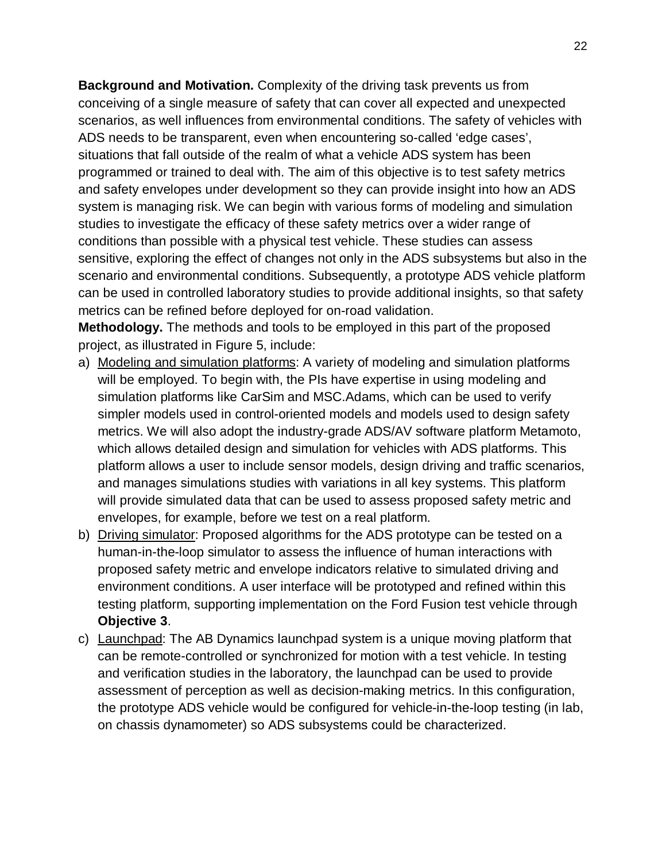**Background and Motivation.** Complexity of the driving task prevents us from conceiving of a single measure of safety that can cover all expected and unexpected scenarios, as well influences from environmental conditions. The safety of vehicles with ADS needs to be transparent, even when encountering so-called 'edge cases', situations that fall outside of the realm of what a vehicle ADS system has been programmed or trained to deal with. The aim of this objective is to test safety metrics and safety envelopes under development so they can provide insight into how an ADS system is managing risk. We can begin with various forms of modeling and simulation studies to investigate the efficacy of these safety metrics over a wider range of conditions than possible with a physical test vehicle. These studies can assess sensitive, exploring the effect of changes not only in the ADS subsystems but also in the scenario and environmental conditions. Subsequently, a prototype ADS vehicle platform can be used in controlled laboratory studies to provide additional insights, so that safety metrics can be refined before deployed for on-road validation.

**Methodology.** The methods and tools to be employed in this part of the proposed project, as illustrated in Figure 5, include:

- a) Modeling and simulation platforms: A variety of modeling and simulation platforms will be employed. To begin with, the PIs have expertise in using modeling and simulation platforms like CarSim and MSC.Adams, which can be used to verify simpler models used in control-oriented models and models used to design safety metrics. We will also adopt the industry-grade ADS/AV software platform Metamoto, which allows detailed design and simulation for vehicles with ADS platforms. This platform allows a user to include sensor models, design driving and traffic scenarios, and manages simulations studies with variations in all key systems. This platform will provide simulated data that can be used to assess proposed safety metric and envelopes, for example, before we test on a real platform.
- b) Driving simulator: Proposed algorithms for the ADS prototype can be tested on a human-in-the-loop simulator to assess the influence of human interactions with proposed safety metric and envelope indicators relative to simulated driving and environment conditions. A user interface will be prototyped and refined within this testing platform, supporting implementation on the Ford Fusion test vehicle through **Objective 3**.
- c) Launchpad: The AB Dynamics launchpad system is a unique moving platform that can be remote-controlled or synchronized for motion with a test vehicle. In testing and verification studies in the laboratory, the launchpad can be used to provide assessment of perception as well as decision-making metrics. In this configuration, the prototype ADS vehicle would be configured for vehicle-in-the-loop testing (in lab, on chassis dynamometer) so ADS subsystems could be characterized.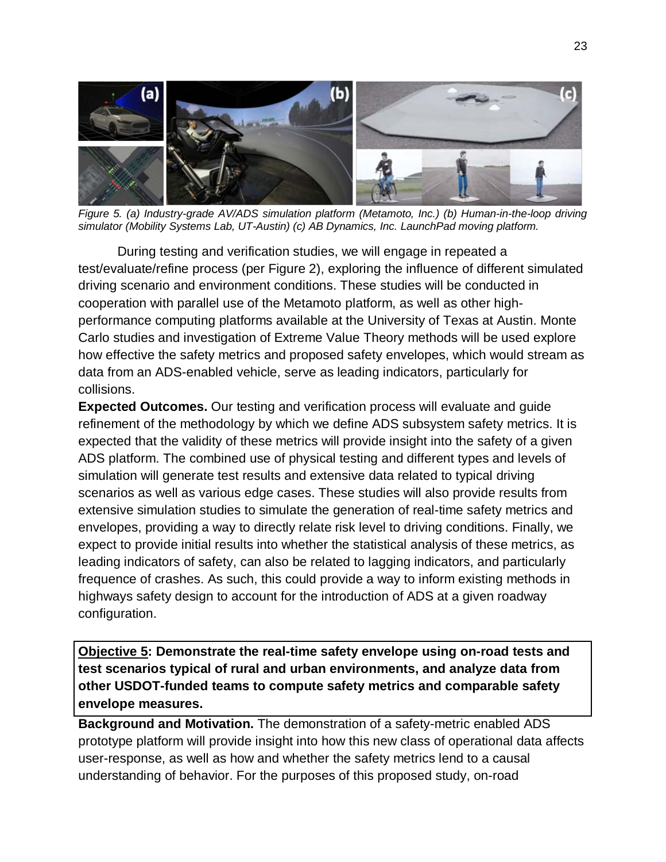

*Figure 5. (a) Industry-grade AV/ADS simulation platform (Metamoto, Inc.) (b) Human-in-the-loop driving simulator (Mobility Systems Lab, UT-Austin) (c) AB Dynamics, Inc. LaunchPad moving platform.*

During testing and verification studies, we will engage in repeated a test/evaluate/refine process (per Figure 2), exploring the influence of different simulated driving scenario and environment conditions. These studies will be conducted in cooperation with parallel use of the Metamoto platform, as well as other highperformance computing platforms available at the University of Texas at Austin. Monte Carlo studies and investigation of Extreme Value Theory methods will be used explore how effective the safety metrics and proposed safety envelopes, which would stream as data from an ADS-enabled vehicle, serve as leading indicators, particularly for collisions.

**Expected Outcomes.** Our testing and verification process will evaluate and guide refinement of the methodology by which we define ADS subsystem safety metrics. It is expected that the validity of these metrics will provide insight into the safety of a given ADS platform. The combined use of physical testing and different types and levels of simulation will generate test results and extensive data related to typical driving scenarios as well as various edge cases. These studies will also provide results from extensive simulation studies to simulate the generation of real-time safety metrics and envelopes, providing a way to directly relate risk level to driving conditions. Finally, we expect to provide initial results into whether the statistical analysis of these metrics, as leading indicators of safety, can also be related to lagging indicators, and particularly frequence of crashes. As such, this could provide a way to inform existing methods in highways safety design to account for the introduction of ADS at a given roadway configuration.

**Objective 5: Demonstrate the real-time safety envelope using on-road tests and test scenarios typical of rural and urban environments, and analyze data from other USDOT-funded teams to compute safety metrics and comparable safety envelope measures.**

**Background and Motivation.** The demonstration of a safety-metric enabled ADS prototype platform will provide insight into how this new class of operational data affects user-response, as well as how and whether the safety metrics lend to a causal understanding of behavior. For the purposes of this proposed study, on-road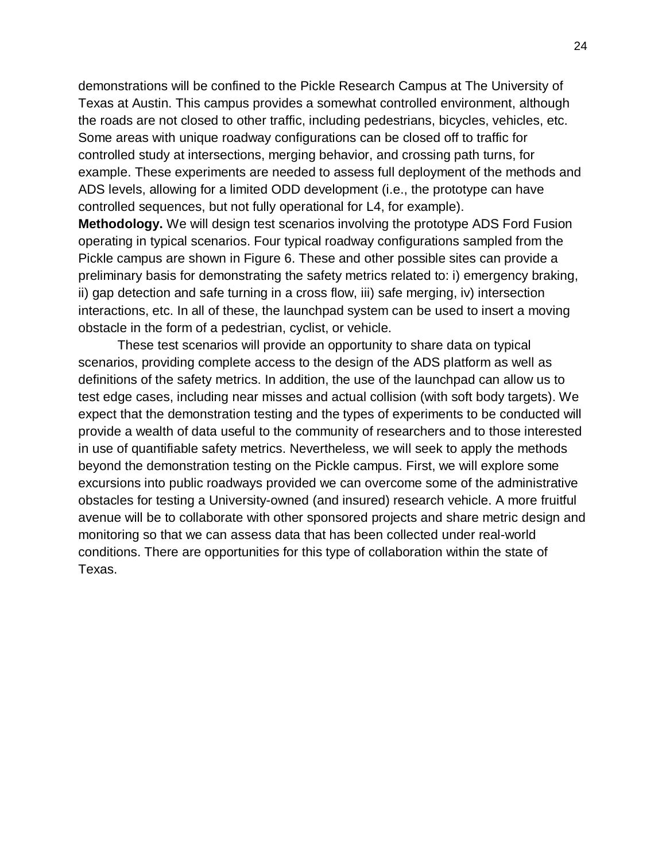demonstrations will be confined to the Pickle Research Campus at The University of Texas at Austin. This campus provides a somewhat controlled environment, although the roads are not closed to other traffic, including pedestrians, bicycles, vehicles, etc. Some areas with unique roadway configurations can be closed off to traffic for controlled study at intersections, merging behavior, and crossing path turns, for example. These experiments are needed to assess full deployment of the methods and ADS levels, allowing for a limited ODD development (i.e., the prototype can have controlled sequences, but not fully operational for L4, for example).

**Methodology.** We will design test scenarios involving the prototype ADS Ford Fusion operating in typical scenarios. Four typical roadway configurations sampled from the Pickle campus are shown in Figure 6. These and other possible sites can provide a preliminary basis for demonstrating the safety metrics related to: i) emergency braking, ii) gap detection and safe turning in a cross flow, iii) safe merging, iv) intersection interactions, etc. In all of these, the launchpad system can be used to insert a moving obstacle in the form of a pedestrian, cyclist, or vehicle.

These test scenarios will provide an opportunity to share data on typical scenarios, providing complete access to the design of the ADS platform as well as definitions of the safety metrics. In addition, the use of the launchpad can allow us to test edge cases, including near misses and actual collision (with soft body targets). We expect that the demonstration testing and the types of experiments to be conducted will provide a wealth of data useful to the community of researchers and to those interested in use of quantifiable safety metrics. Nevertheless, we will seek to apply the methods beyond the demonstration testing on the Pickle campus. First, we will explore some excursions into public roadways provided we can overcome some of the administrative obstacles for testing a University-owned (and insured) research vehicle. A more fruitful avenue will be to collaborate with other sponsored projects and share metric design and monitoring so that we can assess data that has been collected under real-world conditions. There are opportunities for this type of collaboration within the state of Texas.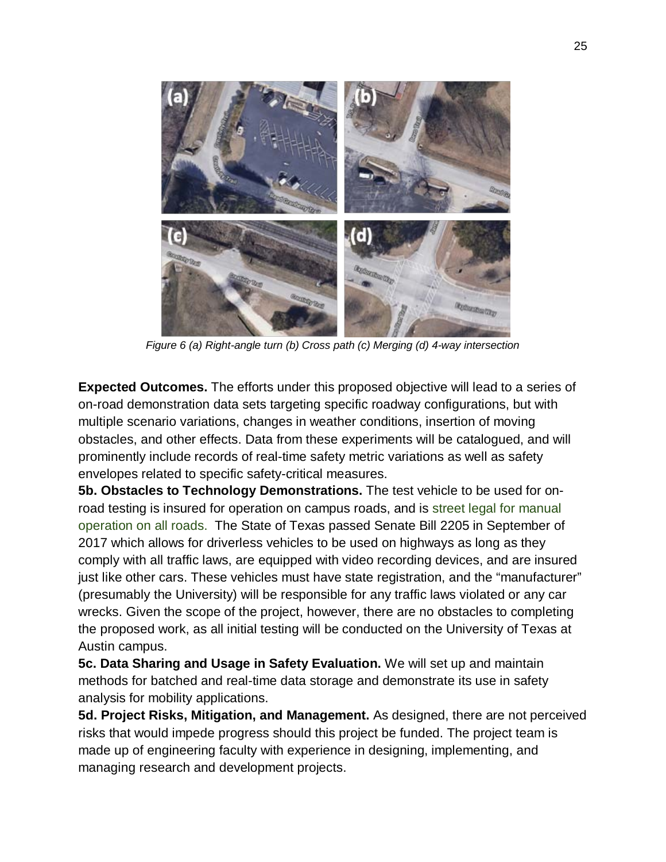

*Figure 6 (a) Right-angle turn (b) Cross path (c) Merging (d) 4-way intersection*

**Expected Outcomes.** The efforts under this proposed objective will lead to a series of on-road demonstration data sets targeting specific roadway configurations, but with multiple scenario variations, changes in weather conditions, insertion of moving obstacles, and other effects. Data from these experiments will be catalogued, and will prominently include records of real-time safety metric variations as well as safety envelopes related to specific safety-critical measures.

**5b. Obstacles to Technology Demonstrations.** The test vehicle to be used for onroad testing is insured for operation on campus roads, and is street legal for manual operation on all roads. The State of Texas passed Senate Bill 2205 in September of 2017 which allows for driverless vehicles to be used on highways as long as they comply with all traffic laws, are equipped with video recording devices, and are insured just like other cars. These vehicles must have state registration, and the "manufacturer" (presumably the University) will be responsible for any traffic laws violated or any car wrecks. Given the scope of the project, however, there are no obstacles to completing the proposed work, as all initial testing will be conducted on the University of Texas at Austin campus.

**5c. Data Sharing and Usage in Safety Evaluation.** We will set up and maintain methods for batched and real-time data storage and demonstrate its use in safety analysis for mobility applications.

**5d. Project Risks, Mitigation, and Management.** As designed, there are not perceived risks that would impede progress should this project be funded. The project team is made up of engineering faculty with experience in designing, implementing, and managing research and development projects.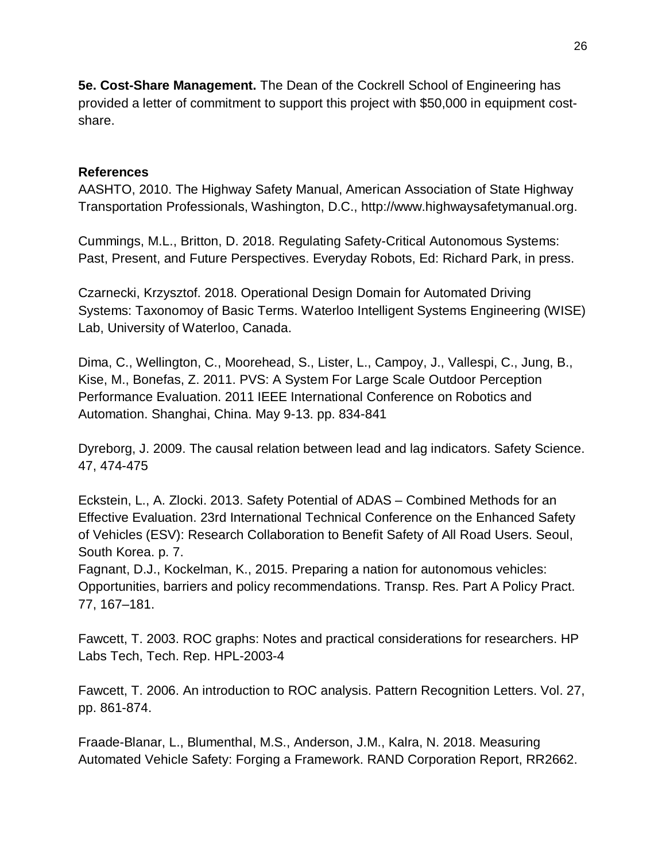**5e. Cost-Share Management.** The Dean of the Cockrell School of Engineering has provided a letter of commitment to support this project with \$50,000 in equipment costshare.

### **References**

AASHTO, 2010. The Highway Safety Manual, American Association of State Highway Transportation Professionals, Washington, D.C., http://www.highwaysafetymanual.org.

Cummings, M.L., Britton, D. 2018. Regulating Safety-Critical Autonomous Systems: Past, Present, and Future Perspectives. Everyday Robots, Ed: Richard Park, in press.

Czarnecki, Krzysztof. 2018. Operational Design Domain for Automated Driving Systems: Taxonomoy of Basic Terms. Waterloo Intelligent Systems Engineering (WISE) Lab, University of Waterloo, Canada.

Dima, C., Wellington, C., Moorehead, S., Lister, L., Campoy, J., Vallespi, C., Jung, B., Kise, M., Bonefas, Z. 2011. PVS: A System For Large Scale Outdoor Perception Performance Evaluation. 2011 IEEE International Conference on Robotics and Automation. Shanghai, China. May 9-13. pp. 834-841

Dyreborg, J. 2009. The causal relation between lead and lag indicators. Safety Science. 47, 474-475

Eckstein, L., A. Zlocki. 2013. Safety Potential of ADAS – Combined Methods for an Effective Evaluation. 23rd International Technical Conference on the Enhanced Safety of Vehicles (ESV): Research Collaboration to Benefit Safety of All Road Users. Seoul, South Korea. p. 7.

Fagnant, D.J., Kockelman, K., 2015. Preparing a nation for autonomous vehicles: Opportunities, barriers and policy recommendations. Transp. Res. Part A Policy Pract. 77, 167–181.

Fawcett, T. 2003. ROC graphs: Notes and practical considerations for researchers. HP Labs Tech, Tech. Rep. HPL-2003-4

Fawcett, T. 2006. An introduction to ROC analysis. Pattern Recognition Letters. Vol. 27, pp. 861-874.

Fraade-Blanar, L., Blumenthal, M.S., Anderson, J.M., Kalra, N. 2018. Measuring Automated Vehicle Safety: Forging a Framework. RAND Corporation Report, RR2662.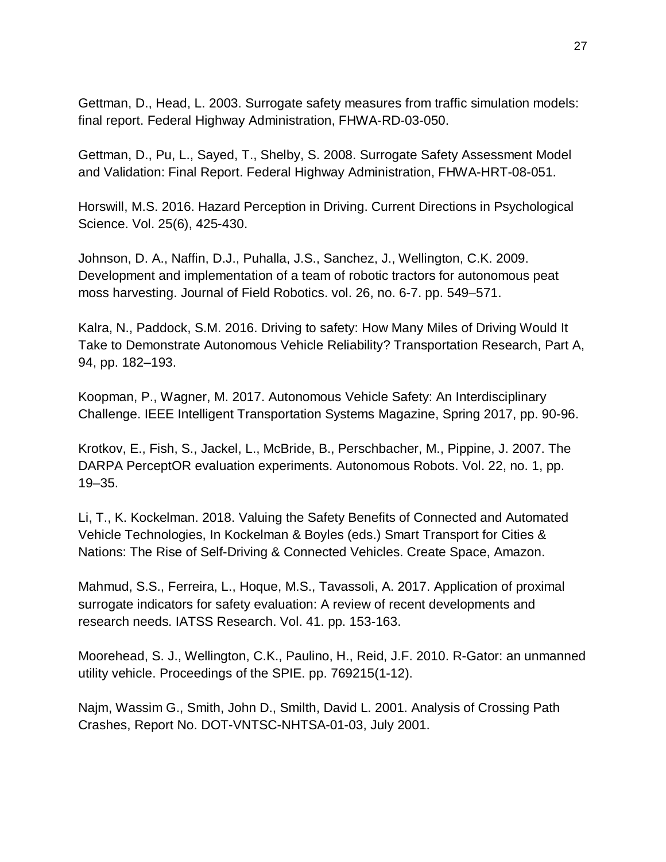Gettman, D., Head, L. 2003. Surrogate safety measures from traffic simulation models: final report. Federal Highway Administration, FHWA-RD-03-050.

Gettman, D., Pu, L., Sayed, T., Shelby, S. 2008. Surrogate Safety Assessment Model and Validation: Final Report. Federal Highway Administration, FHWA-HRT-08-051.

Horswill, M.S. 2016. Hazard Perception in Driving. Current Directions in Psychological Science. Vol. 25(6), 425-430.

Johnson, D. A., Naffin, D.J., Puhalla, J.S., Sanchez, J., Wellington, C.K. 2009. Development and implementation of a team of robotic tractors for autonomous peat moss harvesting. Journal of Field Robotics. vol. 26, no. 6-7. pp. 549–571.

Kalra, N., Paddock, S.M. 2016. Driving to safety: How Many Miles of Driving Would It Take to Demonstrate Autonomous Vehicle Reliability? Transportation Research, Part A, 94, pp. 182–193.

Koopman, P., Wagner, M. 2017. Autonomous Vehicle Safety: An Interdisciplinary Challenge. IEEE Intelligent Transportation Systems Magazine, Spring 2017, pp. 90-96.

Krotkov, E., Fish, S., Jackel, L., McBride, B., Perschbacher, M., Pippine, J. 2007. The DARPA PerceptOR evaluation experiments. Autonomous Robots. Vol. 22, no. 1, pp. 19–35.

Li, T., K. Kockelman. 2018. Valuing the Safety Benefits of Connected and Automated Vehicle Technologies, In Kockelman & Boyles (eds.) Smart Transport for Cities & Nations: The Rise of Self-Driving & Connected Vehicles. Create Space, Amazon.

Mahmud, S.S., Ferreira, L., Hoque, M.S., Tavassoli, A. 2017. Application of proximal surrogate indicators for safety evaluation: A review of recent developments and research needs. IATSS Research. Vol. 41. pp. 153-163.

Moorehead, S. J., Wellington, C.K., Paulino, H., Reid, J.F. 2010. R-Gator: an unmanned utility vehicle. Proceedings of the SPIE. pp. 769215(1-12).

Najm, Wassim G., Smith, John D., Smilth, David L. 2001. Analysis of Crossing Path Crashes, Report No. DOT-VNTSC-NHTSA-01-03, July 2001.